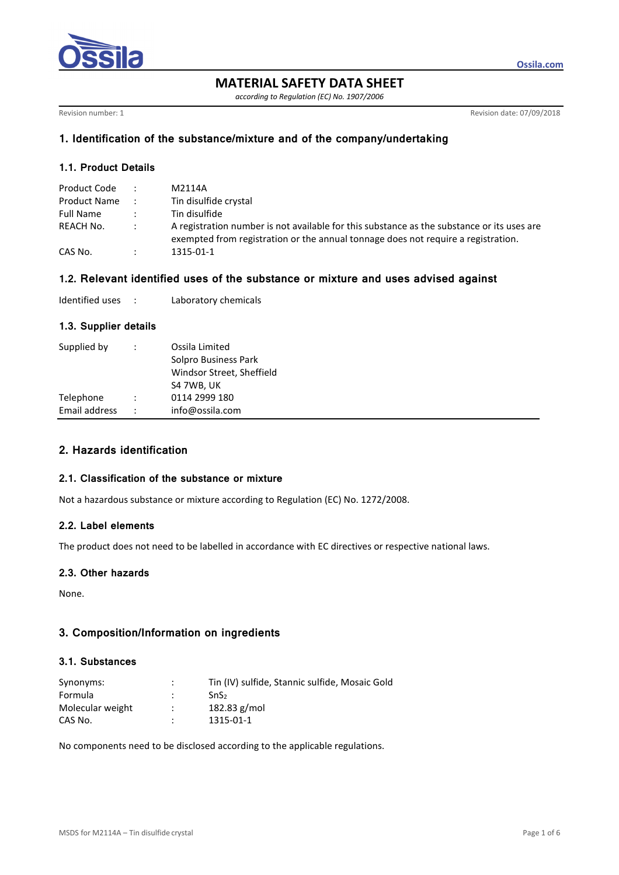

**MATERIAL SAFETY DATA SHEET** 

*according to Regulation (EC) No. 1907/2006* 

Revision number: 1 Revision date: 07/09/2018

**Ossila.com**

# **1. Identification of the substance/mixture and of the company/undertaking**

# **1.1. Product Details**

| Product Code        |               | M2114A                                                                                                                                                                          |
|---------------------|---------------|---------------------------------------------------------------------------------------------------------------------------------------------------------------------------------|
| <b>Product Name</b> |               | Tin disulfide crystal                                                                                                                                                           |
| Full Name           |               | Tin disulfide                                                                                                                                                                   |
| REACH No.           | $\sim$ $\sim$ | A registration number is not available for this substance as the substance or its uses are<br>exempted from registration or the annual tonnage does not require a registration. |
| CAS No.             |               | 1315-01-1                                                                                                                                                                       |

### **1.2. Relevant identified uses of the substance or mixture and uses advised against**

| Identified uses |  | Laboratory chemicals |
|-----------------|--|----------------------|
|-----------------|--|----------------------|

# **1.3. Supplier details**

| Supplied by   | ÷                    | Ossila Limited<br>Solpro Business Park<br>Windsor Street, Sheffield<br>S4 7WB, UK |
|---------------|----------------------|-----------------------------------------------------------------------------------|
| Telephone     |                      | 0114 2999 180                                                                     |
| Email address | $\ddot{\phantom{0}}$ | info@ossila.com                                                                   |

# **2. Hazards identification**

#### **2.1. Classification of the substance or mixture**

Not a hazardous substance or mixture according to Regulation (EC) No. 1272/2008.

## **2.2. Label elements**

The product does not need to be labelled in accordance with EC directives or respective national laws.

# **2.3. Other hazards**

None.

# **3. Composition/Information on ingredients**

#### **3.1. Substances**

| Synonyms:        | ÷                    | Tin (IV) sulfide, Stannic sulfide, Mosaic Gold |
|------------------|----------------------|------------------------------------------------|
| Formula          |                      | SnS <sub>2</sub>                               |
| Molecular weight | $\ddot{\phantom{0}}$ | $182.83$ g/mol                                 |
| CAS No.          |                      | 1315-01-1                                      |

No components need to be disclosed according to the applicable regulations.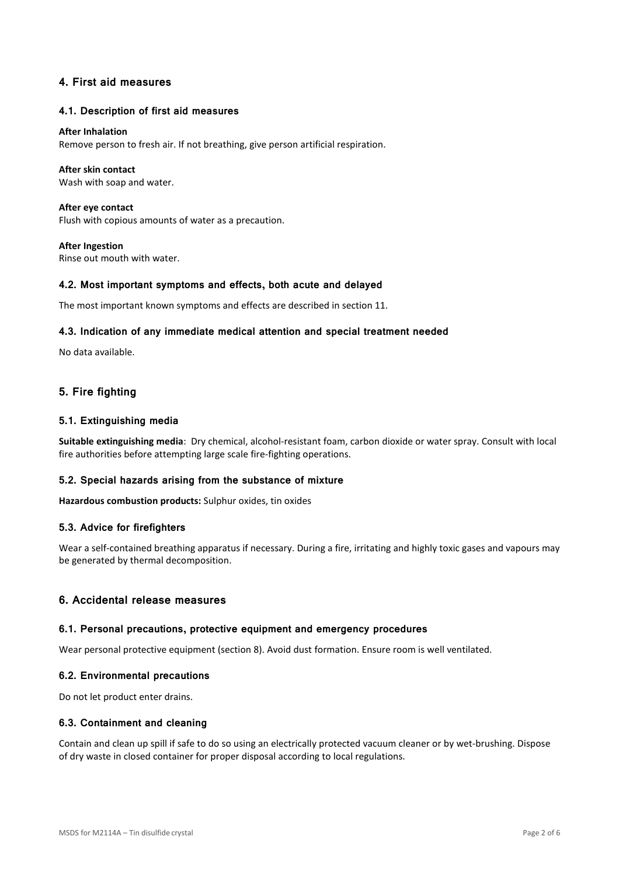# **4. First aid measures**

### **4.1. Description of first aid measures**

#### **After Inhalation**

Remove person to fresh air. If not breathing, give person artificial respiration.

### **After skin contact**

Wash with soap and water.

**After eye contact**  Flush with copious amounts of water as a precaution.

**After Ingestion**  Rinse out mouth with water.

### **4.2. Most important symptoms and effects, both acute and delayed**

The most important known symptoms and effects are described in section 11.

### **4.3. Indication of any immediate medical attention and special treatment needed**

No data available.

# **5. Fire fighting**

### **5.1. Extinguishing media**

Suitable extinguishing media: Dry chemical, alcohol-resistant foam, carbon dioxide or water spray. Consult with local fire authorities before attempting large scale fire-fighting operations.

#### **5.2. Special hazards arising from the substance of mixture**

**Hazardous combustion products:** Sulphur oxides, tin oxides

#### **5.3. Advice for firefighters**

Wear a self-contained breathing apparatus if necessary. During a fire, irritating and highly toxic gases and vapours may be generated by thermal decomposition.

## **6. Accidental release measures**

#### **6.1. Personal precautions, protective equipment and emergency procedures**

Wear personal protective equipment (section 8). Avoid dust formation. Ensure room is well ventilated.

#### **6.2. Environmental precautions**

Do not let product enter drains.

#### **6.3. Containment and cleaning**

Contain and clean up spill if safe to do so using an electrically protected vacuum cleaner or by wet-brushing. Dispose of dry waste in closed container for proper disposal according to local regulations.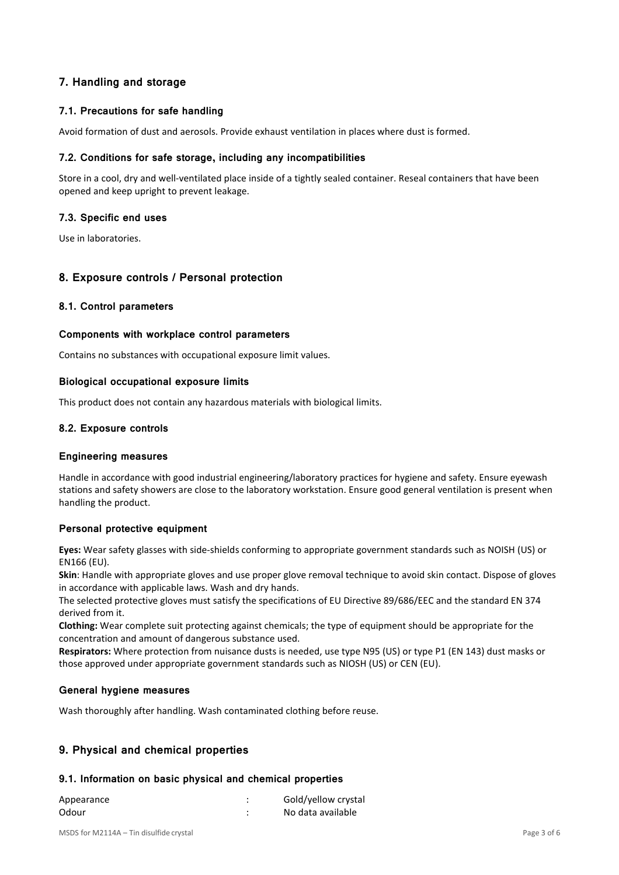# **7. Handling and storage**

# **7.1. Precautions for safe handling**

Avoid formation of dust and aerosols. Provide exhaust ventilation in places where dust is formed.

## **7.2. Conditions for safe storage, including any incompatibilities**

Store in a cool, dry and well-ventilated place inside of a tightly sealed container. Reseal containers that have been opened and keep upright to prevent leakage.

## **7.3. Specific end uses**

Use in laboratories.

# **8. Exposure controls / Personal protection**

## **8.1. Control parameters**

## **Components with workplace control parameters**

Contains no substances with occupational exposure limit values.

### **Biological occupational exposure limits**

This product does not contain any hazardous materials with biological limits.

## **8.2. Exposure controls**

### **Engineering measures**

Handle in accordance with good industrial engineering/laboratory practices for hygiene and safety. Ensure eyewash stations and safety showers are close to the laboratory workstation. Ensure good general ventilation is present when handling the product.

## **Personal protective equipment**

**Eyes:** Wear safety glasses with side-shields conforming to appropriate government standards such as NOISH (US) or EN166 (EU).

**Skin**: Handle with appropriate gloves and use proper glove removal technique to avoid skin contact. Dispose of gloves in accordance with applicable laws. Wash and dry hands.

The selected protective gloves must satisfy the specifications of EU Directive 89/686/EEC and the standard EN 374 derived from it.

**Clothing:** Wear complete suit protecting against chemicals; the type of equipment should be appropriate for the concentration and amount of dangerous substance used.

**Respirators:** Where protection from nuisance dusts is needed, use type N95 (US) or type P1 (EN 143) dust masks or those approved under appropriate government standards such as NIOSH (US) or CEN (EU).

# **General hygiene measures**

Wash thoroughly after handling. Wash contaminated clothing before reuse.

# **9. Physical and chemical properties**

## **9.1. Information on basic physical and chemical properties**

| Appearance | Gold/yellow crystal |
|------------|---------------------|
| Odour      | No data available   |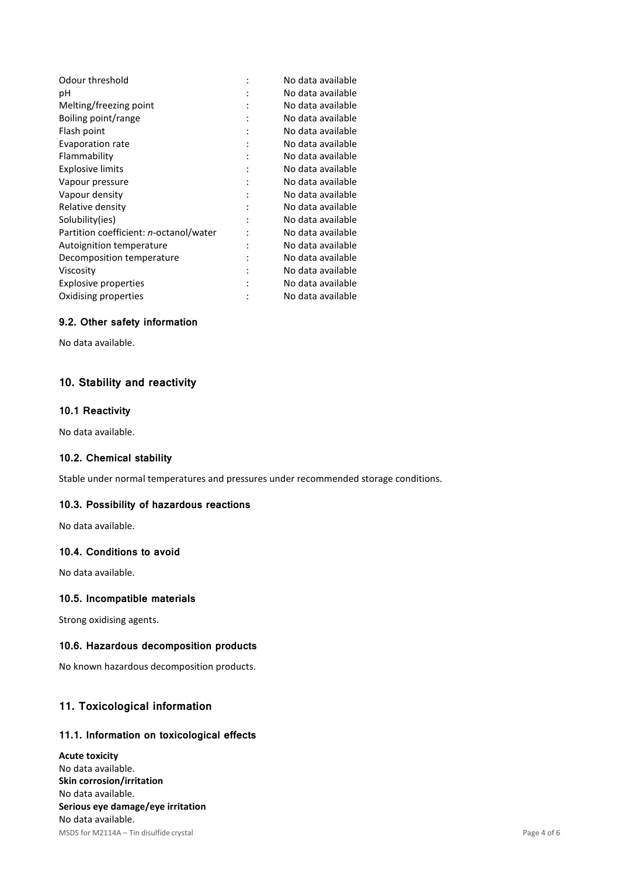|   | No data available |
|---|-------------------|
|   | No data available |
|   | No data available |
|   | No data available |
| ٠ | No data available |
|   | No data available |
| ٠ | No data available |
|   | No data available |
|   | No data available |
|   | No data available |
|   | No data available |
|   | No data available |
|   | No data available |
|   | No data available |
|   | No data available |
|   | No data available |
|   | No data available |
|   | No data available |
|   |                   |

# **9.2. Other safety information**

No data available.

# **10. Stability and reactivity**

## **10.1 Reactivity**

No data available.

## **10.2. Chemical stability**

Stable under normal temperatures and pressures under recommended storage conditions.

# **10.3. Possibility of hazardous reactions**

No data available.

## **10.4. Conditions to avoid**

No data available.

## **10.5. Incompatible materials**

Strong oxidising agents.

# **10.6. Hazardous decomposition products**

No known hazardous decomposition products.

# **11. Toxicological information**

# **11.1. Information on toxicological effects**

MSDS for M2114A – Tin disulfide crystal Page 4 of 6 **Acute toxicity**  No data available. **Skin corrosion/irritation**  No data available. **Serious eye damage/eye irritation**  No data available.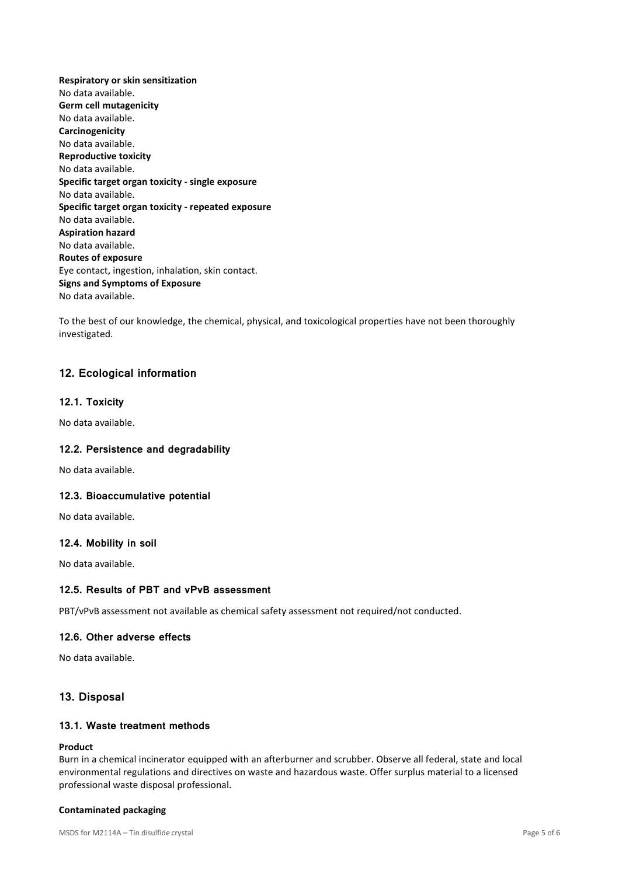**Respiratory or skin sensitization**  No data available. **Germ cell mutagenicity**  No data available. **Carcinogenicity**  No data available. **Reproductive toxicity**  No data available. **Specific target organ toxicity - single exposure**  No data available. **Specific target organ toxicity - repeated exposure**  No data available. **Aspiration hazard**  No data available. **Routes of exposure**  Eye contact, ingestion, inhalation, skin contact. **Signs and Symptoms of Exposure**  No data available.

To the best of our knowledge, the chemical, physical, and toxicological properties have not been thoroughly investigated.

# **12. Ecological information**

### **12.1. Toxicity**

No data available.

#### **12.2. Persistence and degradability**

No data available.

#### **12.3. Bioaccumulative potential**

No data available.

#### **12.4. Mobility in soil**

No data available.

## **12.5. Results of PBT and vPvB assessment**

PBT/vPvB assessment not available as chemical safety assessment not required/not conducted.

### **12.6. Other adverse effects**

No data available.

### **13. Disposal**

### **13.1. Waste treatment methods**

### **Product**

Burn in a chemical incinerator equipped with an afterburner and scrubber. Observe all federal, state and local environmental regulations and directives on waste and hazardous waste. Offer surplus material to a licensed professional waste disposal professional.

#### **Contaminated packaging**